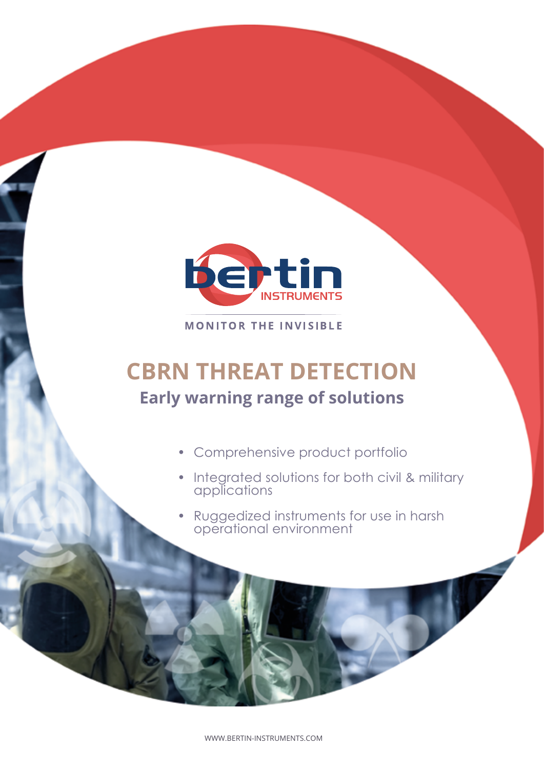

**MONITOR THE INVISIBLE** 

# **CBRN THREAT DETECTION Early warning range of solutions**

- Comprehensive product portfolio
- Integrated solutions for both civil & military applications
- Ruggedized instruments for use in harsh operational environment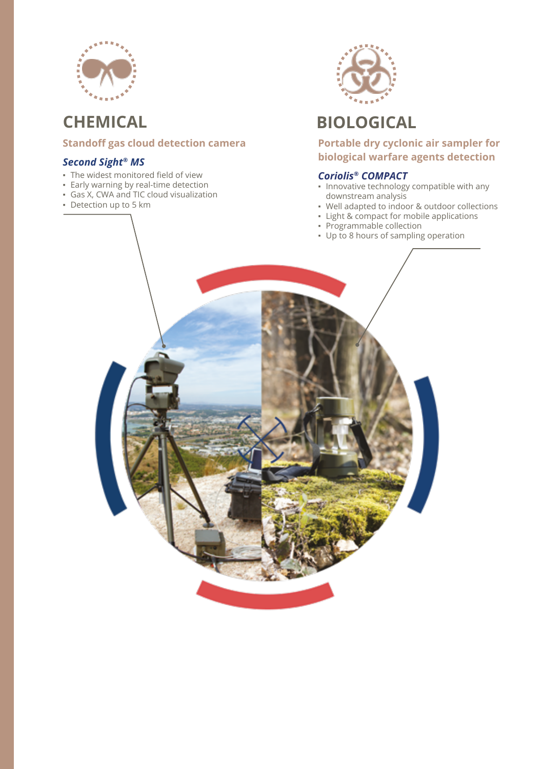

## **Standoff gas cloud detection camera CHEMICAL BIOLOGICAL**

### *Second Sight® MS*

- **▪** The widest monitored field of view
- **▪** Early warning by real-time detection
- **▪** Gas X, CWA and TIC cloud visualization
- **▪** Detection up to 5 km



**Portable dry cyclonic air sampler for biological warfare agents detection**

### *Coriolis® COMPACT*

- **▪** Innovative technology compatible with any downstream analysis
- **▪** Well adapted to indoor & outdoor collections
- **▪** Light & compact for mobile applications
- **▪** Programmable collection
- **▪** Up to 8 hours of sampling operation

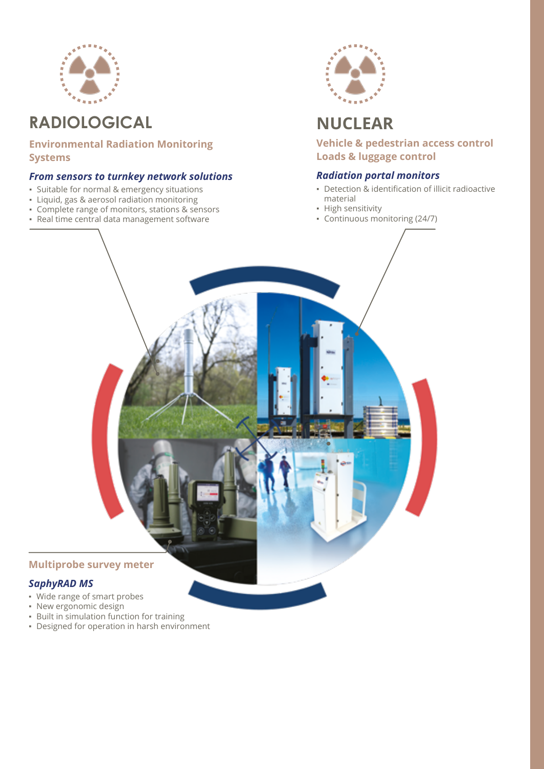

## **RADIOLOGICAL NUCLEAR**

**Environmental Radiation Monitoring Systems**

### *From sensors to turnkey network solutions*

- **▪** Suitable for normal & emergency situations
- **▪** Liquid, gas & aerosol radiation monitoring
- **•** Complete range of monitors, stations & sensors
- **▪** Real time central data management software



**Vehicle & pedestrian access control Loads & luggage control**

### *Radiation portal monitors*

- **▪** Detection & identification of illicit radioactive material
- **▪** High sensitivity
- **▪** Continuous monitoring (24/7)

### **Multiprobe survey meter**

### *SaphyRAD MS*

- **▪** Wide range of smart probes
- **▪** New ergonomic design
- **▪** Built in simulation function for training
- **▪** Designed for operation in harsh environment